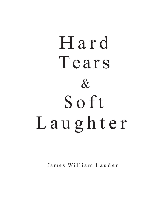# Hard Tears  $\&$ Soft Laughter

James William Lauder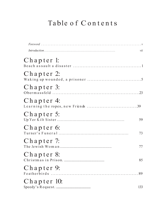## Table of Contents

|             | vii |
|-------------|-----|
| Chapter 1:  |     |
| Chapter 2:  |     |
| Chapter 3:  |     |
| Chapter 4:  |     |
| Chapter 5:  | 59  |
| Chapter 6:  | 73  |
| Chapter 7:  | 77  |
| Chapter 8:  | 85  |
| Chapter 9:  |     |
| Chapter 10: | 133 |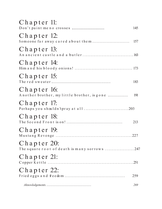| Chapter 11:                                                 | 145 |
|-------------------------------------------------------------|-----|
| Chapter 12:                                                 | 157 |
| Chapter 13:                                                 |     |
| Chapter 14:                                                 |     |
| Chapter 15:                                                 | 183 |
| Chapter 16:<br>Another brother, my little brother, is gone  | 191 |
| Chapter 17:<br>Perhaps you shouldn'tpray at all203          |     |
| Chapter 18:                                                 | 213 |
| Chapter 19:                                                 |     |
| Chapter 20:<br>The square root of death is many sorrows 247 |     |
| Chapter 21:                                                 |     |
| Chapter 22:                                                 | 259 |
|                                                             | 269 |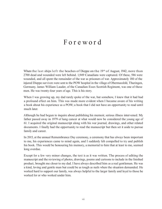#### F o r e w o r d

When the last ships left the beaches of Dieppe on the 19th of August, 1942, more than 2700 dead and wounded were left behind. 1,949 Canadians were captured. Of these, 586 were wounded, and all spent the remainder of the war as prisoners of war. Approximately 180 of the injured Dieppe survivors were sent to the POW hospital in the village of Obermassfeld, Thuringen, Germany. James William Lauder, of the Canadian Essex Scottish Regiment, was one of those men. He was twenty-four years of age. This is his story.

When I was growing up, my dad rarely spoke of the war, but somehow, I knew that it had had a profound effect on him. This was made more evident when I became aware of his writing a book about his experience as a POW; a book that I did not have an opportunity to read until much later.

Although he had begun to inquire about publishing his memoir, serious illness intervened. My father passed away in 1979 of lung cancer at what would now be considered the young age of 61. I acquired the original manuscript along with his war journal, drawings, and other related documents. I finally had the opportunity to read the manuscript but then set it aside to pursue family and career.

In 2015, at the annual Remembrance Day ceremony, a ceremony that has always been important to me, his experiences came to mind again, and I suddenly felt compelled to try and publish his book. This would be honouring his memory, a memorial to him that at least to me, seemed long overdue.

Except for a few very minor changes, the text is as it was written. The process of editing the manuscript and the reviewing of photos, drawings, poems and cartoons to include in the finished product, brought me closer to my dad. I have always described him as a real gentleman. He was a kind, loving and gentle man but could be as tough as nails when the situation demanded. He worked hard to support our family, was always helpful to the larger family and loyal to those he worked for or who worked under him.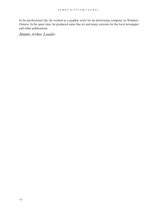In his professional life, he worked as a graphic artist for an advertising company in Windsor, Ontario. In his spare time, he produced some fine art and many cartoons for the local newspaper and other publications.

*Jimmie Arthur Lauder*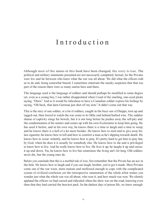## Introduction

Although most of the names in this book have been changed, the story is true. The political and military statements presented are not necessarily completely factual, for the Privates were few and far between who knew what the war was all about. We did what the officers told us to do and, being somewhat biased; I sometimes entertain the sneaky suspicion that that was part of the reason there were so many snafus here and there.

The language used is the language of soldiers and should perhaps be modified to some degree yet, even as a young boy, I was rather disappointed when I read of the snarling, one-eyed pirate saying, "Darn." And so it would be ridiculous to have a Canadian soldier express his feelings by saying, "Oh heck, that darn German just shot off my arm." It didn't come out that way.

This is the story of one soldier, or a lot of soldiers, caught in the buzz saw of Dieppe, torn up and tagged out, then forced to watch the war come to its filthy end behind barbed wire. The sudden shame of captivity stings his bowels, but it is not long before he pushes away the self-pity and the condemnation of his seniors and comes up with his own Ecclesiastes to keep him going. He has used it before, and in his own way, he knows there is a time to laugh and a time to weep, and he knows there is a hell of a lot more besides. He knows how to steal and to give away his last cigarette; he knows how to kill and how to comfort a man as he's slipping towards death. He knows how to swear violently, and he knows how to pray. It's pretty hard to get him to pray but, by God, when he does it is usually for somebody else. He knows how to die and is privileged to know how to live. And he really knows how to live. He lives it up; he laughs it up and curses it up and down. Yes, he knows how to live but sometimes the living ain't for long. Old soldiers never die, but the young ones do.

Before you conclude that this is a morbid tale of woe, first remember that the Private has an ace in the hole. He knows how to laugh and if you can laugh, brother, you've got it made. Most Privates come out of the war wiser, more mature and mellowed enough to cope with the complicated system of civilized confusion yet the retrospective summation of the whole affair makes you wonder just what the whole war was all about, who won it, and how much was won. We silently applaud the officers we had cursed and ridiculed when the show was on the road, knowing even then that they had carried the heaviest pack. In the darkest days of prison life, we knew enough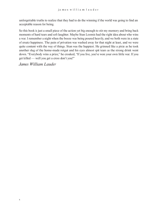unforgettable truths to realize that they had to do the winning if the world was going to find an acceptable reason for being.

So this book is just a small piece of the action yet big enough to stir my memory and bring back moments of hard tears and soft laughter. Maybe Stan Loomis had the right idea about who wins a war. I remember a night when the booze was being poured heavily, and we both were in a state of ersatz happiness. The pain of privation was washed away for that night at least, and we were quite content with the way of things. Stan was the happiest. He grinned like a pixie as he took another slug of the home-made rotgut and his eyes almost spit tears as the strong drink went down. "Everybody wins a prize," he croaked, "If you live, you've won your own little war. If you get killed — well you get a cross don't you?"

*James William Lauder*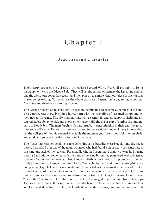## Chapter 1:

#### Beach assault a disaster

The history books that tell the story of the Second World War will probably allot a paragraph or two to the Dieppe Raid. They will list the casualties, itemize the losses and emphasize the glory, tone down the excuses and then pass on to a more victorious piece of the war that makes better reading. To me, it was the whole damn war. I spent half a day trying to get into Germany and three years wanting to get out.

The Dieppe raid got off to a bad start, sagged in the middle and became a shambles at the end. The courage was there, born in a hurry, born with the discipline of seasoned troops and by men new to the game. The German mortars, with a seemingly endless supply of shells and an unpredictable ability to pick and choose their targets, did the major part of cutting the landing party to bloody bits. The men fought with hard, stubborn determination in their effort to get to the centre of Dieppe. Reckless bravery was packed into every tight minute of the grim morning, yet the collapse of the raid seemed inevitable the moment your heavy boots hit the wet shale and sand, and you sped for the protection of the sea wall.

The August sun was hot, sending its rays down through a beautiful clear blue sky onto the hectic beach. I crouched over one of the many wounded who had found a bit of safety in a large hole in the sand just back of the sea wall. For a medic who had spent more than two years in England putting Band-Aids on route march blisters and dispensing bismuth to pampered lead-swingers to suddenly find himself wallowing in blood and torn flesh, it was indeed a fast promotion. I pushed Andy's intestines back under the skin, like stuffing a chicken and told him that everything was going to be okay. He knew I was a goddamn liar but acted as if he seemed to get a bit of comfort from a kind word. I wanted to leave as there were so many more that needed help but he hung onto me, his face bleary and gawky like a drunk on his last legs looking for a reason for me to stay. "Cigarette..." he gurgled. I fumbled for my pack and managed to get one into his rubbery lips. I struck a match, and at the same moment a mortar bomb exploded behind him and finished him off. He shielded me from the blast, yet I pushed his bloody body away from me without a second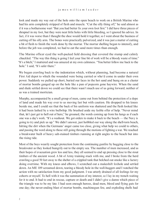look and made my way out of the hole onto the open beach to work on a British Marine who had his arm completely stripped of flesh and muscle. "Cut the silly thing off," he said almost as if it was a bothersome wart "But you had better fix your own foot first." I did have three pieces of shrapnel in my foot, but they were neat little holes with little bleeding, so I ignored his advice. In fact, if it was worse than I thought the shoe would hold it together, so I went about the business of cutting off his silly arm. The bones were practically pulverized, and it was just a matter of cutting a bit of flesh to finish the work done by the mortar. The mortar shelling began to intensify, and before the job was completed, we had to eat the sand more times than enough.

The Marine officer eyed the well-packed field dressing that covered the stump and calmly chuckled. "The way this thing is going I feel your fine bit of work will be a bloody waste of time." "It's a bitch," I muttered and was amazed at my own calmness. "You better follow me back to the hole." I said, "It's safer there."

We began crawling back to the indentation which, without planning, had become a natural First Aid depot to which the wounded were being carried or who'd come in under their own power. Suddenly we pulled up short, buried our faces in the hot sand and hung on as a cluster of mortar bombs ganged up on the hole like a pan of popcorn gone haywire. When the sand and shale settled down we could see that there wasn't much use of us going forward; neither of us was a trained mortician.

Murphy, accompanied by a small group of men, came out from behind the protection of a slope of land and made his way over to us moving fast but with caution. He dropped to his knees beside me, and I could see that the back of his uniform was shattered and the flesh looked like it had been lashed by a wire bullwhip. He brushed aside my feeble offer of help. "Never mind that, let's just get to hell out of here," he groaned, the words coming up from his lungs as if each one was a day's work. "It's a washout. We got orders to make it back to the beach — the Navy is going to try and pick us up." We didn't answer, just hobbled our way along the shell-torn beach, hitting the dirt when the Germans' anger came too close, giving what help we could to others, and passing the word along to those still going through the motions of fighting a war. We reached a breakwater built of heavy salt-stained timbers running at right angles to the beach but into the rising tide.

Most of the boys wearily sought protection from the continuing gunfire by hugging close to the breakwater as they looked hungrily out to the empty sea. The number of men increased, and as their hopes of evacuation grew less and less, they all seemed to end up pressing close to the stout timbers of the ancient wood. A bit of Army training stuck with me, and I broke from the herd crawling a good 50 feet away to the shelter of a crippled tank that belched out smoke like a factory doing overtime. With my knees and elbows, I scratched out a makeshift foxhole and settled down. An ME 109 screamed down, tearing a bloody hole in the wall-huggers and I watched the action with no satisfaction from my good judgment. I was utterly drained of all feelings for my cohorts or myself. To hell with it was the summation of my interest, so I lay in my trench waiting for it to end. It had to end in rescue, capture or death and I didn't give a damn which piece of the triangle was to be my fate. I had seen enough heroes, dead men, blood and flying guts for one day; the never-ending blast of mortar bombs, machinegun fire, and exploding shells had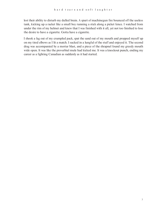lost their ability to disturb my dulled brain. A spurt of machinegun fire bounced off the useless tank, kicking up a racket like a small boy running a stick along a picket fence. I watched from under the rim of my helmet and knew that I was finished with it all, yet not too finished to lose the desire to have a cigarette. Gotta have a cigarette.

I shook a fag out of my crumpled pack, spat the sand out of my mouth and propped myself up on my tired elbows as I lit a match. I sucked in a lungful of the stuff and enjoyed it. The second drag was accompanied by a mortar blast, and a piece of the shrapnel found my greedy mouth wide open. It was like the proverbial mule had kicked me. It was a knockout punch, ending my career as a fighting Canadian as suddenly as it had started.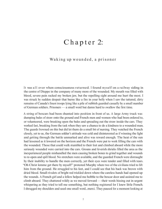## Chapter 2:

#### Waking up wounded, a prisoner

It was all over when consciousness returned. I found myself on a railway siding in the centre of Dieppe in the company of many more of the wounded. My mouth was filled with blood, severe pain racked my broken jaw, but the repelling sight around me hurt the most. I was struck by sudden despair that burns like a fire in your belly when I saw the tattered, dirty remains of Canada's finest troops lying like a pile of rubbish guarded casually by a small number of German soldiers. Prisoners — a small word but damn hard to swallow the first time.

A string of boxcars had been shunted into position in front of us. A large Army truck was dumping bales of straw onto the ground and French men and women who had been ordered to, or volunteered, were breaking open the bales and spreading out the straw inside the cars. They worked fast, breaking from the task when they saw a chance to do a kindness to a wounded man. The guards frowned on this but did let them do a small bit of nursing. They watched the French closely, yet to us, the German soldier's attitude was cold and disinterested as if winning the fight and getting through the battle unmarked and alive was reward enough. The heat of the sun had lessened as it lowered on the horizon and the French were put to work filling the cars with the wounded. Those that could walk stumbled to their feet and climbed aboard while the more seriously wounded were carried into the cars. Groans and feverish shrieks filled the area as the inexperienced people mishandled the men causing broken bones to grind together and wounds to re-open and spill blood. No stretchers were available, and the guarded French were distraught by their inability to handle the men correctly, yet their eyes were tender and filled with tears. "Oh Christ lemme get there by myself!" protested Murphy when two of the civilians tried to lift him from the ground. He struggled to his feet, and I could see that his back was brown with dried blood. Small rivulets of bright red trickled down where the careless hands had opened up the wounds. A French girl and a fellow helped me hobble to the boxcar door and assisted me to climb aboard. They chattered wildly as we moved forward — their words hissing out in urgent whispering as they tried to tell me something, but nothing registered for I knew little French. I shrugged my shoulders and used one small word...merci. They paused for a moment looking at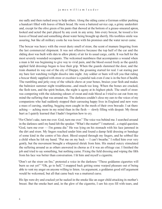me sadly and then rushed away to help others. Along the siding came a German soldier pushing a handcart filled with loaves of black bread. He wore a battered service cap, a grimy undershirt and, except for the olive green of his pants that showed at the bottom of a grease-smeared apron, looked and acted the part played by any cook in any army. Into every boxcar, he tossed a few loaves of bread and said something about water being brought up shortly. His toothless smile was assuring, but like all military cooks he was loose with his promises and the water never came.

The boxcar was heavy with the sweet dusty smell of straw, the scent of manure lingering from the last commercial shipment. It was not offensive because the top half of the car and the sliding door was built with slats to allow plenty of air for its usual cargo, cattle. It was hell for the most severely wounded occupants. The welcomed numbness that accompanies a wound when a man is hit was beginning to give way to vivid pain, and the blood oozed freely as the quickly applied field dressings began to lose their grip. When the guards slammed the door, and the train shunted its way out of the city of Dieppe, the groaning started for real. I sat staring past my bare feet watching twilight dissolve into night. Any soldier or bum will tell you that riding a boxcar thinly supplied with straw or excelsior is a painful task even if one is in the best of health. The rumbling and jerky sway of the vehicle chews at your bones, bruises your flesh and makes the balmiest summer night troublesome...and much too long. When the bones are cracked, the flesh torn, and the spirit broken, the night is agony at its highest pitch. The smell of straw was competing with the sickening odours of sweat and stale blood as I tried to cut out from my mind the suffering that was around me. The darkness couldn't close my ears to the voices of my companions who had suddenly stopped their carousing happy lives in England and now were a mass of cursing, snarling, begging men caught in the mesh of their own bravado. I sat there aching — aching more in my mind than in the flesh — slowly filling with despair. My throat hurt as I quietly learned that I hadn't forgotten how to cry.

"For Christ's sake, turn me over. God, turn me over." The voice was behind me. I searched around in the darkness until my hand felt the speaker. "What's the matter?" I muttered…a stupid question. "God, turn me over — I'm gonna die." He was lying on his stomach with his face jammed in the dirt and straw. My fingers reached under him and found a damp field dressing or bandage of some kind in the centre of his chest. Blood seeped through my fingers, and he sobbed like a child when he felt my hand. "Put me on my back — I can't breathe." I rolled him over very gently, but the movement brought a whispered shriek from him. His muted outcry stimulated the suffering around us as others answered in chorus as if it was an offstage cue. I finished the job and tried to say something, but nothing came. Fixing the field dressing and wiping the filth from his face was better than conversation. I lit him and myself a cigarette.

"Don't set the straw on fire," protested a voice in the darkness "Those goddamn cigarettes will burn us out yet!" "Oh, go to hell," I snapped back getting some warped pleasure out of being able to vent my anger on anyone willing to listen. An argument, a goddamn good stiff argument would be welcomed, but all that came back was a muttered curse.

His lips were dry and cracked yet he sucked in the smoke like an eager child attacking its mother's breast. But the smoke hurt and, in the glow of the cigarette, I saw his eyes fill with tears, and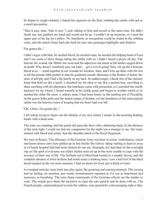he began to cough violently. I butted his cigarette on the floor, rubbing the cinder with spit as a small precaution.

"Take it easy, man. Take it easy," I said, talking to him and myself at the same time. He didn't thank me, just grabbed my hand and would not let go. I couldn't sit up anymore, so I used the upper part of his leg for a pillow. No familiarity or recognition could be found in the sobbing voice, and the match flame had only built his face into grotesque highlights and shadows.

"I'm gonna die..."

I didn't argue with him, he needed blood, he needed water, he needed the helping hand of God and I saw none of these things riding the rattler with us. I hadn't heard a prayer all day. The heavier the wound, the filthier the word and the adjectives ran amok as the bodies sagged down in death. Why doesn't somebody pray out loud — get a revival going? Sure, stir up the Christian blood in us — stand together in our crusade for freedom. Sure, and I'd be up there with the first to tell the pseudo-bible pusher to shut his goddamn mouth. Bitterness is the brother of defeat, the sister of self-pity and I had a big family on my back. In sudden anger, I shook free of the clammy hand that held on like a leech. I clenched my fist close to me like a spoiled brat, unwilling to share anything with his playmates, but loneliness came with possession, so I searched the smelly darkness for my friend. I found warmth in his feeble grasp and began to wonder which of us needed the other the most. A solitary man, I had been lonely in the melting pot of Piccadilly, in the gayest Soho pubs and the tented camps of Borden, yet the loneliness of this man-packed rattler was the heaviest sense of longing that my heart had ever felt.

"Oh, Christ, I'm gonna die..."

I fell asleep trying to figure out the identity of my new friend. I awoke in the morning holding hands with a dead man.

The train was standing, and the guard slid open the door with a shattering bang. In the dimness of the early light, I could see that my companion for the night was a stranger to me. His tunic, stained with blood and grime, had the shoulder patch of the Royal Regiment.

We were in Rouen. The efficiency of the German Army was back in action. Ambulances, trucks and horse-drawn carts were pulled up in line beside the railway siding waiting to haul us away to a French hospital that had been cleared for our use. Strangely, few had died on the overnight trip yet the spirit of everyone was killed. Sullen men sat up in the straw unable to cope with the newness of their way of life. The brilliant red of blood had turned to a muddy brown, and the complete absence of toilet facilities had made many a stinking mess. I saw a half loaf of the black bread tangled in the wet straw uneaten. I had no desire for food, just a drink of water.

As cramped muscles came back into play again, the groaning and cursing returned. The cursing had no feeling, no emotion, just words, monotonously repeated as if it was as functional and necessary as breathing. The terse sharp commands of the German officers set the medics to work. The stench gave them the incentive to clear the cars quickly and be done with us. The French people, commandeered to assist the soldiers, were greeted by a discouraging sight as they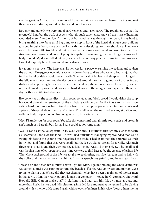saw the glorious Canadian army removed from the train yet we seemed beyond caring and met their wide-eyed dismay with dead faces and hopeless eyes.

Roughly and quickly we were put aboard vehicles and taken away. The roughness was not the revengeful kind but the work of experts who, through experience, knew all the tricks of handling wounded men, friend or foe. As the truck bounced its way through the town, it was hard to bring anything into focus until it ground to a stop in front of the hospital, a huge gray building guarded by but a few soldiers who walked with their rifles slung over their shoulders. They knew we could cause little trouble and watched us with curiosity and boredom boxed together. The structure was massive and ancient yet quite capable of containing the two things my miserable body desired. My desires fitted into any age, any location, any political or military circumstance: I wanted a speedy bowel movement and a drink of water.

It was only a stop-over. The hospital at Rouen was just a place to examine the patients and re-dress the wounds. Emergency operations were made on those soldiers who were so badly injured that further travel or delay would mean death. The removal of bullets and shrapnel still lodged in the fellows was necessary, and the doctors worked around the clock digging out iron, sewing up slashes and amputating hopelessly shattered limbs. Slowly the wounded were cleaned up, patched up, catalogued, separated and, for some, hauled away to the morgue. We lay in bed these two days with very little to do but wait.

Everyone was on the same diet — thin soup, potatoes and black bread. I could drink the soup but would stare at the remainder of the grubstake with despair for the injury to my jaw made eating hard food impossible. I found out later that the upper jaw was cracked and contained a piece of shrapnel about the size of a dime. The fellow on the next bed saw my situation and, with his body propped up on his one good arm, he spoke to me.

"Hey, I'll trade you for your soup. You take this consommé and gimmie your spuds and bread. It ain't much of a bargain but, Jesus, I sure could go for some more."

"Well, I can't eat the lousey stuff, so it's okay with me," I muttered through my clenched teeth as I started to hand over the food. He saw I had difficulties managing my wounded foot, so he swung his feet to the ground and negotiated the trade. I had examined the shrapnel wounds in my foot and found that they were small, but the leg would be useless for a while. Although three pellets had found their way into the ankle, the foot was still in one piece. The small deal was the first taste of co-operation, the thing we were to find later to be the essence of prison life. The whole background of the life was to give to each other, sacrifice, bargain and to hell with the dollar and the pound note. I let him talk — my speech was painful, and he was garrulous.

"I wasn't on the beach ten minutes before I got hit. Man, I got to thinking the whole damn war was aimed at me! I was running around the beach as if a bee was up my ass and mortars were trying to blast it out. Where did they get them all? Must have been a regiment of mortar men in that town. Man, they really poured it onto our company — you're in 'C' company, ain't you? How did Billy Canton make out?" I told him that I had seen him hit by a mortar blast and, more than likely, he was dead. His pleasant grin faded for a moment as he seemed to be playing around with a memory. He started again with a touch of sadness in his voice. "Jesus...them mortar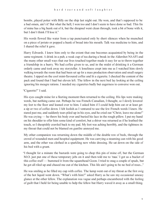bombs...played poker with Billy on the ship last night out. He won, and that's supposed to be a bad omen, ain't it? But what the hell, I won too and I don't seem to have done so bad. This fin of mine has a big hunk out of it, but the shrapnel went clean through, took a bit of bone with it, but I don't think I'll lose it."

His words flowed like water from a tap punctuated only by short silences when he munched on a piece of potato or popped a hunk of bread into his mouth. Talk was medicine to him, and I shared the relief it gave.

Harry Edwards. I knew him only to the extent that one becomes acquainted by being in the same regiment. A drink in a pub, a weak cup of tea during a break in the Aldershot NAAFI and the many other small ways that our lives touched together made it easy for us to throw together a friendship in a hurry. We had coffee given to us, and in the midst of drinking it a German orderly came and took away my storyteller. A loneliness crept into me as I watched him slowly walking towards the room that had been set up for a mass production observation and small surgery theatre. I sipped on the cool mint-flavoured coffee and lit a cigarette. I checked the content of the pack and found that I had but eleven left. The fellow in the next bed lay looking at the ceiling ignoring his meagre rations. I needed my cigarettes badly but eagerness to converse won out.

#### "Cigarette?" I said.

His eyes caught mine for a fleeting moment then returned to the ceiling. His lips were making words, but nothing came out. Perhaps he was French-Canadian, I thought, so I slowly lowered my feet to the floor and leaned over to him. I asked him if I could help him eat or at least get a sip or two of coffee down. I felt foolish as I ventured to use the few French words I knew. He stared past me, and suddenly tears piled up in his eyes, and he cried out "Christ, leave me alone!" He was crying — he threw his body over and buried his face in the rough pillow. I put my hand on his shoulder to offer him some kind of comfort, but a shiver was returned as if he loathed the touch, so I sheepishly crawled back to my pad. My foot was aching horribly, and the tightness in my throat that could not be blamed on gunfire annoyed me.

My other companion was returning down the middle of the double row of beds, through the crowd of wounded men and hospital equipment. He was carrying a steaming can with his good arm, and the other was clothed in a sparkling new white dressing. He sat down on the side of his bed with a grunt.

"I thought for a minute the bastards were going to chop this pin of mine off, but the German M.O. just put one of those temporary jobs on it and then told me to 'raus.' I got us a bucket of this coffee stuff — bummed it from the squarehead Goon. I tried to snag a couple of spuds, but he got all riled up and chased me out of the kitchen. This life ain't going to be no bed of roses..."

He was smiling as he filled my cup with coffee. The lump went out of my throat as the first swig of the hot liquid went down. "What's with him?" asked Harry as he saw my occasional uneasy glance at the other fellow. The explanation was vague and perhaps encumbered with the feeling of guilt that I held for being unable to help the fellow but Harry waved it away as a small thing.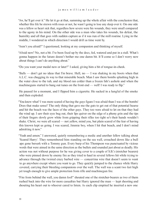"Aw, he'll get over it." He let it go at that, summing up the whole affair with the conclusion that, whether this life be strewn with roses or not, he wasn't going to lose any sleep over it. On one side was a fellow so heart sick that, regardless how severe were his wounds, they were small compared to the agony in his mind. On the other side was a man who takes his wounds, his defeat, the humility and all that goes with sudden capture as if it was run of the mill routine. Lying in the middle, I wondered in which direction I would drift as time went by.

"Aren't you afraid?" I questioned, looking at my companion and thinking of myself.

"Afraid now? No, not a bit. I've been fixed up by the docs, fed, watered and put in a stall. What's gonna happen in the future doesn't bother me one damn bit. It'll come so I don't worry now about things I can't do anything about."

"Do you want your medal now or later?" I asked, giving him a bit of tongue-in-cheek.

"Balls — don't get no ideas that I'm brave. Hell, no — I was shaking in my boots when that A.L.C. was chugging its way to that miserable beach. Man I saw them bombs splashing high in the water close to the tub, and my blood ran colder than a frozen fish's asshole and when the machineguns started to bang out tunes on the front end — well! I was ready to flip."

He paused for a moment, and I flipped him a cigarette. He sucked in a lungful of the smoke and then exploded:

"You know what? I was more scared of having the guys figure I was afraid than I was of the bombs! Does that make sense? The only thing that gave me the guts to get out of that potential hearse and hit the beach was the faces of the other guys. They too were afraid to let on that they had the wind up. I saw their eyes bug out, their lips quiver on the edge of a phony grin and the tips of their fingers slowly grow white from gripping their rifles too tight so's their hands wouldn't shake. Christ, we were all scared — not yellow, mind you, but plain scared of the fear of having this known kept us going. I was scared, Jimmie boy, when I hit that beach, and I don't mind admitting it now."

"Yeah and amen." I answered, quietly remembering a medic and another fellow talking about 'Scared Harry'. They remembered him standing on the sea wall, crouched down like a bull ape gone berserk with a Tommy gun. Every burp of his Thompson was punctuated by vicious words that were aimed in the same direction as the bullets and sounded just about as deadly. His action was not without purpose for he was giving cover to a couple of S.B.'s (stretcher bearers) who were pinned down by enemy fire as they tried to haul in several fellows hit while trying to advance through the twisted crazy barbed wire — concertina wire that doesn't seem to want to go anywhere except where you want to go. They quickly jumped to the chance while Harry covered, carrying their bleeding companions over the wall. The wall was a scant two feet high yet tough enough to give ample protection from rifle and machinegun fire.

"Fire from behind the wall, you damn fool!" shouted one of the stretcher-bearers as two of them rushed back into the wire for more casualties but Harry ignored the man — kept shooting and shouting his heart out to whoever cared to listen. As each clip emptied he inserted a new one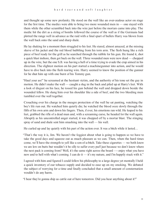and thought up some new profanity. He stood on the wall like an over-zealous actor on stage for the first time. The medics were able to bring two more wounded men in — one stayed with them while the other scrambled back into the wire just before the mortars came into play. The medic hit the dirt as a string of bombs followed the course of the wall as if the Germans had plotted the range well in advance as the raid with a final spurt of bullets Harry was blown from the wall back onto the sand and sharp shale.

He lay shaking for a moment then struggled to his feet. He stared, almost amazed, at the missing sleeve of his jacket and the red blood bubbling from his torn arm. The flesh hung like a rich piece of beef ready for the grill as he searched through the rubble for his gun. He found it, shot a quick blast inshore, then got back on the wall. Three wounded men were now dead — chopped up in the wire, but the one S.B. was having a hell of a time trying to evade the crap aimed in his direction. The slightest motion on his part started a machinegunner into action, and he would have to dive back into the flesh tearing wire. Harry seemed to know the position of the gunner for he shut him up with one burst of his Tommy gun.

"Haul your ass!" he screamed at the hesitant victim, and the authority of his tone set the guy in motion. He didn't make the wall — caught a slug in the back and piled up at Harry's feet. With a look of disgust on his face, he tossed his gun behind the wall and dropped down beside the wounded fellow. He slung him over his shoulder like a side of beef, and the two bleeding men tumbled over the wall together.

Crouching over his charge in the meagre protection of the wall he sat panting, watching the boy's life run out. He watched him quietly die; he watched the blood ooze slowly through the filth of his own arm and down his fingers. Then, if ever, his emotions ran wild. He leaped to his feet, grabbed the rifle of a dead man and, with a screaming curse, he headed for the wall again. Abruptly as his uncontrolled anger started, it was chopped off by a mortar blast. The stinging spray of sand and shale sent him smashing into the wall — his wall.

He curled up and lay quietly with his part of the action over. It was a bitch while it lasted...

"That's the way it is, Jim. We haven't the foggiest about what is going to happen so we have to take the good days and squeeze out as much pleasure as we can. Then, when the hard times come, we'll have the strength to yell like a son-of-a-bitch. Take these cigarettes — we both know we are low on butts but wouldn't it be silly to suffer every puff just because we don't know where the next pack is coming from? Well, it's the same right across the board —- enjoy what you have now and to hell with what's coming. I can do it — it's my nature, and I'm happily stuck with it."

I agreed with him and figured I could follow his philosophy to a large degree yet mentally I held a quick inventory of our tobacco supply and decided to ease up on my smoking. We debated the subject of worrying for a time and finally concluded that a small amount of consternation wouldn't do any harm.

"I hear they're gonna ship us cattle out of here tomorrow. Did you hear anything about it?"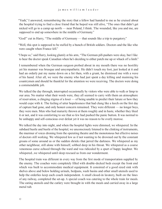"Yeah," I answered, remembering the story that a fellow had handed to me as he cruised about the hospital trying to find a close friend that he hoped was still alive, "The ones that didn't get nicked will go to a camp up north — near Poland, I think. The wounded, like you and me, are supposed to end up somewhere in the middle of Germany."

"God!" cut in Harry, "The middle of Germany — that sounds like a trip to purgatory."

"Well, this spot is supposed to be staffed by a bunch of British soldiers. Doctors and the like who were caught when France fell."

"I hope so," said Harry, looking glumly at his arm, "The German pill-pushers were okay, but I like to hear the doctor speak Canadian when he's deciding to either patch me up or whack off a limb."

I remembered when the German surgeon probed about in my mouth there was no hostility yet his manner was brusque and unsympathetic. He didn't touch my foot, just looked at it and had an orderly put my name down on a list then, with a grunt, he dismissed me with a wave of his hand. After all, we were the enemy who had just spent a day killing and maiming his countrymen and should be thankful for the attention we were receiving. The doctors were doing a commendable job.

We talked the day through, interrupted occasionally by visitors who were able to walk or limp to our area. No matter what their words were, they all seemed to carry with them an atmosphere of reservation, a clinging stigma of a loser — of being unable to predict their future or how they would cope with it. The feeling of utter hopelessness that had clung like a leech on the first day of capture had gone, and only honest concern remained. They were different — no longer boys, they were men. Men who had maturity thrown at them roughly and in haste, whether they liked it or not, and it was comforting to see that so few had pushed the panic button. It was normal to be unhappy and self-conscious over defeat yet it was no reason to be overly morose.

We talked the day into night, and when the hospital lights were dimmed, we whispered. In the subdued hustle and bustle of the hospital, we unconsciously listened to the clinking of instruments, the murmur of voices droning from the operating theatre and the monotonous but effective noises of doctors still working. We whispered low as if not wanting to be drowned out by the constant groans of some around us or the sudden shrieks that jarred the darkness. We whispered as my other neighbour, still alone with himself, sobbed deep in his throat. We whispered as a coarse venomous curse echoed through the ward and was ridiculed by a spurt of happy laughter. We whispered...we whispered until sleep rescued us from our wonderment.

The hospital train was different in every way from the first mode of transportation supplied by the enemy. The coaches were completely filled with double-decked beds except the front end which was built to accommodate medical equipment. It consisted of a good sized sink with shelves above and below holding urinals, bedpans, wash basins and other small utensils used to help the orderlies keep each coach independent. A small closed-in lavatory, built on the lines of any railway, completed the set-up. A special coach was catering to the whole train for meals. The eating utensils and the cutlery were brought in with the meals and carried away in a large metal tub.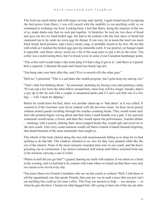The food was much better and with larger servings and, luckily, I again found myself occupying the bed across from Harry. I was still cursed with the inability to eat anything solid, so we continued to exchange our food. Looking back, I feel that Harry, being the smartest of the two of us, made damn sure that we were put together. At breakfast, he took my two slices of bread and gave me his two hard-boiled eggs. He had to be content with the four slices of bread but cautioned me to lay aside my extra eggs for dinner. It was wise, for at noon the meal was more black bread, hard potatoes, and a heavy meaty soup, or probably meant to be stew. He ate this with relish as I mashed the boiled eggs past my immobile teeth. It was painful, yet hunger made it enjoyable, and Harry always saved me a bit of the soup juice to put a lid on the meal. The coffee was a weird tasting brew, but I've drunk worse in some of our Canadian hamburger joints.

"This coffee stuff would make a fine mint julep if it had a slug of gin in it," said Harry as I passed him a cigarette. I checked the pack and found four lonely fags left.

"You hang onto your butts after this, and I'll try to mooch offa the other guys."

"Hell no," I protested, "This is a sad share-the-wealth program, but I gotta keep my end up, too."

"That's what I'm thinking about, " he answered, imitating my hissing voice and grinning widely, "If I can cop a few from the other fellows around here, those four will live longer...besides, there's a guy up at the far end with a couple of unopened packs and if I can't con him out of a few fags — well, I must be slipping."

Before he could leave his bed, there was another check-up or 'bed check' as it was called. It seemed as if the Germans were never content with the previous count. An hour never passed without armed guards travelling through the coaches counting heads. They would count each bed with pointed fingers waving about and then form a small huddle over a pad. A few guttural comments would ensue, a frown, and then they would repeat the performance. Another debate — markings with a pencil, shaking their close-cropped heads they would sigh and travel on to the next coach. After every count someone would call them a bunch of dumb bastards forgetting that dumb bastards of the same nationality had caught us.

The wheels of the train clicked along the iron rails monotonously lulling us to sleep for we had nothing to do but talk. The windows afforded us no view for they were painted white like the rest of the interior. None of the more seriously wounded men were in our coach, and the heavy groaning was at a minimum. I lay almost contented, half asleep until Harry returned from one of his missions carrying a can of coffee.

"Where in hell did you get that?" I gasped, hurting my teeth with surprise. It was about six o'clock in the evening, and we had had to be content with water when we found out that there were only two meals to be served every day.

"You know those two French Canadians who are on this coach as workers? Well, I told them to tell the squarehead, one that speaks French, that your jaw was in such a mess that you just can't eat anything but could go for some coffee. The Frog was anxious to help — too anxious — so when he gets the brew, I found out what bugged him. He's going to bust out of this tin can after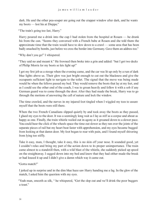dark. He and the other pea-souper are going out the crapper window after dark, and he wants my boots — lost his at Dieppe."

"The train's going too fast, Harry."

Harry poured me a drink into the cup I had stolen from the hospital at Rouen — he drank his from the can. "Seems they conversed with a French babe at Rouen and she told them the approximate time that the train would have to slow down to a crawl — some area that has been badly smashed by bombs, just before we cross the border into Germany. Gave them an address too."

"Why don't you go!" I whispered.

"They said no and meant it." He frowned then broke into a grin and added: "but I got two decks of Philip Morris for my boots so lets light up!"

I got my first job as a stooge when the evening came, and the car was lit up only by a run of dark blue lights above us. Their glow was just bright enough to cut out the blackness and give the occupants sufficient light to navigate to the toilet. The signal that the move was being made would be when the fellows passed my bed. They would remove the boots that lay at my feet, and as I could see the other end of the coach, I was to groan heavily and follow it with a sob if any German guard was to come through the door. After they had made the break, Harry was to go through the motions of answering the call of nature and lock the window.

The time crawled, and the nerves in my injured foot tingled when I wiggled my toes to assure myself that the boots were still there.

When the two French Canadians slipped quietly by and took away the boots as they passed, I glued my eyes to the door. It was a seemingly long wait as I lay as stiff as a corpse and about as happy as one. Finally, the train whistle wailed out in agony as it groaned down to a slower pace. You could hear the click of the wheels space the time out slower as they ran over the joints of the separate pieces of rail but my heart beat faster with apprehension, and my eyes became bugged from looking at that damn door. My foot began to roar with pain, and I found myself shivering from lying too stiffly.

Take it easy, man, I thought, take it easy, this is no skin off your nose. It sounded good, yet I couldn't relax and bring my part of the action down to its proper unimportance. The train came almost to a standstill then, with a wild blast of the whistle, she suddenly picked up speed on the straightaway. I sagged down into my bed and knew that they had either made the break or had loused it up and I didn't give a damn which way it came out.

"Gotta match?"

I jerked up in surprise and in the dim blue haze saw Harry handing me a fag. In the glow of the match, I asked him the question with my eyes.

"Yeah man, smooth as silk, " he whispered, "Get the slop out and we'll drink the poor buggers a toast."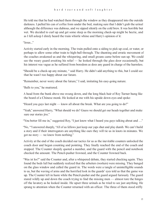He told me that he had watched them through the window as they disappeared into the outside darkness. I pulled his can of coffee from under the bed, making sure that I didn't grab the urinal although the difference was dubious, and we sipped silently on the cold brew. It was horrible but wet. We decided to curl up and get some sleep as the morning check-up might be hectic, and as I fell asleep I dimly heard the train whistle whine and Harry's opinion of it:

"Jesus..."

Activity started early in the morning. The train pulled onto a siding to pick up coal, or water, or perhaps to allow some other train to high-ball through. The shunting and erratic movement of the coaches awakened us and the whispering, and small groans came before sun up. We could see the weary guard awaiting his relief — he looked through the glass door occasionally, but his interest was vague as he suffered from boredom as does any guard in charge of the harmless.

"Should be a check-up any minute, " said Harry. He didn't add anything to this, but I could see that he wasn't too happy about our future.

"Remember, never worry about the future," I said, imitating his easy-going nature.

"Balls to you," he muttered.

A head from the bunk above me swung down, and the long black hair of Roy Turner hung like the beard of a Chinese monk. He looked at me with his upside down eyes and spoke:

"Heard you guys last night — know all about the break. What are you going to do?"

"Yeah," answered Harry, "What should we do? Guess we should get our heads together and make sure our stories jive."

"You better fill me in," suggested Roy, "I just know what I heard you guys talking about and …"

"No, "'I answered sharply, "All of us fellows just keep our yaps shut and play dumb. We can't build a story and if their interrogators are anything like ours they will tie us in knots in minutes. We got no story — we know from nothing."

Activity at the end of the coach decided our tactics for us as the inevitable counters unlocked the coach door and began counting and pointing. They finally reached the end of the coach and stopped. The Counter sleepily quoted a number, and the guard with the pencil and notebook checked the amount. The Pencil-pusher frowned, and the Counter frowned back.

"Was ist los?" said the Counter and, after a whispered debate, they started checking again. They found the beds full but suddenly realized that the arbeiters (workers) were missing. They banged on the glass window and called the guard in. The words were a tangle of unintelligible sounds to us, but the waving of arms and the horrified look in the guards' eyes told us that the game was up. The Counter left in haste while the Pencil-pusher and the guard argued furiously. The guard stared wildly up and down the coach trying to find the missing men — almost tore the hinges off the lavatory as he looked inside. He upset three urinals as he tried to see just anything. He sprang to attention when the Counter returned with an officer. The three of them stood stiffly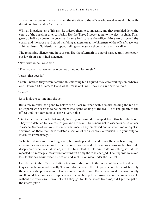at attention as one of them explained the situation to the officer who stood arms akimbo with distaste on his haughty German face.

With an impatient jerk of his arm, he ordered them to count again, and they stumbled down the centre of the coach in utter confusion like the Three Stooges going to the electric chair. They gave up half-way down the coach and came back to face the officer. More words rocked the coach, and the poor guard stood trembling at attention as the bitterness of the officer's rage tore at his eardrums. Suddenly he stopped yelling — he gave a short order, and they all left.

The remaining silence rang in your ears like the aftermath of a naval barrage until somebody cut it with an astonished statement.

"Now what in hell was that!"

"The two guys that worked as orderlies bailed out last might."

"Jesus, that does it."

"Yeah, I noticed they weren't around this morning but I figured they were working somewheres else. I know a bit of Jerry talk and what I make of it...well, they just ain't here no more."

"Jesus."

Jesus is always getting into the act.

But a few minutes had gone by before the officer returned with a soldier holding the rank of a Corporal who seemed to be the more intelligent looking of the two. He talked quietly to the officer and then turned to us. He was very polite.

"Gentlemen, apparently, last night, two of your comrades escaped from this hospital train. They were detailed to take care of you and are bound by honour not to escape or assist others to escape. Some of you must know of what means they employed and at what time of night it occurred. As these men have violated a section of the Geneva Convention, it is your duty to inform us immediately..."

As he talked in a soft, soothing voice, he slowly paced up and down the coach smiling like a vacuum cleaner salesman. He paused for a moment and let his message sink in, but his smile disappeared when a small voice, muffled by a blanket, told him to do something sexual. He repeated his message almost word for word with only the tone changed. The response was even less, for the sex advisor used discretion and kept his opinion under the blanket.

He returned to the officer, and after a few words they went to the far end of the coach and began to question the men individually. The mumbled words of the interpreter could be heard, but only the words of the prisoners were loud enough to understand. Everyone seemed to answer loudly so all could hear and avert suspicion of collaboration yet the answers were incomprehensible without the questions. It was not until they got to Harry, across from me, did I get the gist of the interrogation.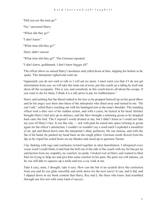"Did you see the men go?"

"No." answered Harry.

"When did they go?"

"I don't know."

"What time did they go?"

Harry didn't answer.

"What time did they go?" The German repeated.

"I don't know, goddamnit, I don't know bugger all!"

The officer above us sensed Harry's insolence and yelled down at him, slapping his holster as he spoke. The interpreter sighed and went on.

"Apparently you do not wish to talk so I will ask no more. I must warn you that if I do not get information from you, we will take this train out of town, put this coach on a siding by itself and shoot all the occupants. This is war, and somebody in this coach knows all about the escape. If you want to die for them, I think it is a silly price to pay for stubbornness."

Harry said nothing but the blood rushed to his face as he propped himself up on his good elbow and let his angry eyes burn into those of the interpreter who shied away and turned to me. "He can't talk," yelled Harry reaching out with his bandaged arm at the man's shoulder. The standing officer took a dim view of his sudden action, and with a curse, he kicked at his head. Instinct brought Harry's bad arm up in defence, and the blow brought a sickening groan as he dropped back onto the bed. The Corporal's words droned at me, but I didn't listen as I could not take my eyes off Harry's face. It was like clay — sick with pain he stared into space refusing to groan again for the officer's satisfaction. I couldn't or wouldn't say a word until I exploded a mouthful of air, spit and blood down onto the interpreter's shiny jackboots. He was furious, and with the flat of his hand, he pushed my head back on the rough pillow. German words flowed from his lips as he wiped his soiled boots on my blanket and stood up to question Turner.

I lay shaking with rage and confusion twisted together in utter humiliation. I whispered every swear word I could think of and beat the hell out of the side of the coach with my fist but got no satisfaction from my stupidity, no comfort, no pride. I looked over at Harry and wanted to blast him for trying to help me and give him some comfort in his pain. His pain was still intense, yet he was still able to squeeze up a smile and toss a coy wink at me.

Take it easy, man, I thought, take it easy. How can the bat of an eyelash drive the confusion from you and let you glide smoothly and settle down for the next move? It can, and it did, and I slipped down in my bunk content that Harry, Roy and I, the three who knew, had stumbled through our first test with some kind of success.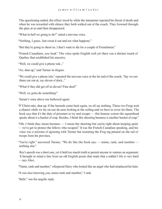The questioning ended, the officer stood by while the interpreter repeated his threat of death and when he was rewarded with silence they both walked out of the coach. They frowned through the glass at us and then disappeared.

"What in hell we going to do?" asked a nervous voice.

"Nothing, I guess. Just sweat it out and see what happens."

"But they're going to shoot us. I don't want to die for a couple of Frenchmen."

"French Canadians, you freak" The voice spoke English well yet there was a distinct touch of Quebec that established his ancestry.

"Well, we could give a phony tale..."

"Aw, shut up," said Turner in disgust.

"We could give a phony tale," repeated the nervous voice at the far end of the coach, "Say we saw them cut out at, say eleven o'clock..."

"What if they did get off at eleven? Fine deal!"

"Well, we gotta do something!"

Turner's voice above me bellowed again:

"F'Christ sake, shut up. If the bastards come back again, we all say nothing. Those two Frogs took a chance while we lay on our fat asses looking at the ceiling and we have to cover for them. The book says that it's the duty of prisoners to try and escape — this honour system the squarehead speaks about is a bucket of crap. Besides, I think this shooting business is another bucket of crap."

"Oh, I think they mean business — I mean the shooting but you're right about keeping quiet — we've got to protect the fellows who escaped." It was the French Canadian speaking, and his voice was a mixture of agreeing with Turner but resenting the Frog tag pinned on the tail of troops from his province.

"You're right." answered Turner, "We do like the book says — name, rank, and number nothing else."

Roy's speech was a short one, yet it held too much truth to permit anyone to venture an argument. It brought to mind a line from an old English poem that reads that a soldier's life is very hard — says Alice.

"Name, rank and number," whispered Harry who looked like an angel who had misplaced his halo.

"It was nice knowing you, name rank and number," I said.

"Balls." was his angelic reply.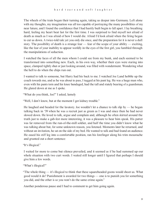The wheels of the train began their turning again, taking us deeper into Germany. Left alone with my thoughts, my imagination was all too capable of portraying the many possibilities of my near future, and I found the confidence that I had hastily built begin to fall apart. I lay breathing hard, feeling my heart beat fast for the first time. I was surprised to find myself not afraid of death as much as I was afraid of how I would die. Afraid I'd look afraid when the firing began to cut us down. A twice-told tale yet you only die once, and the preparation for it is never a dull story. The possibility of death is a strange fear — fear of the scope of your ability — exciting, like the fear of your inability to appear worldly in the eyes of the first girl, you fumbled through the manipulations of seduction.

I watched the faces of all the men whom I could see from my bunk, and each seemed to be transformed into something new. Each, in his own way, whether their eyes were staring into space, clamped tightly shut or just looking around, was filled with wonderment. Wondering what the hell to do when the chips run out.

I wanted to talk to someone, but Harry had his back to me. I watched Joe Land hobble up the coach towards me, and as he was about to pass, I tugged at his pant leg. He was a huge man who, even with his pants torn and his knee bandaged, had the tall and stately bearing of a guardsman. He glared down at me as I spoke.

"What do you think, Joe?" I asked, lamely

"Well, I don't know, but at the moment I got kidney trouble."

He laughed and headed for the lavatory. Joe wouldn't let a chance to talk slip by — he began talking back in '39 when he was a recruit just as green as I was and since then he had never slowed down. He loved to talk, argue and complain and, although he often skirted around the truth just to make a gab-fest more interesting, it was a pleasure to hear him speak. His patter was far removed from the run-of-the-mill soldier, and half the time you didn't know what he was talking about but, for some unknown reason, you listened. Moments later he returned, and without an invitation, he sat on the side of my bed. He wanted to talk and had found an audience. He eased his stiff leg into a comfortable position, ran his forefinger along his trim moustache and grunted out a short sentence:

"It's illogical."

I waited for more to come but silence prevailed, and it seemed as if he had summed up our whole situation with two curt words. I waited still longer until I figured that perhaps I should give him a few words.

"What's illogical?"

"The whole thing — it's illogical to think that these squareheaded goons would shoot us. What good would it do? Punishment is awarded for two things — one is to punish you for something you did, and the other is so you won't do the same crime again."

Another ponderous pause and I had to comment to get him going again.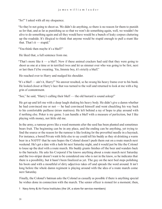"So?" I asked with all my eloquence.

"So they're not going to shoot us. We didn't do anything, so there is no reason for them to punish us for that, and as far as punishing us so that we won't do something again, well, we wouldn't be alive to do something again and all they would have would be a bunch of leaky corpses cluttering up the roadside. It's illogical to think that anyone would be stupid enough to pull a stunt like that. That's it — stupid."

"You think then maybe it's a bluff?"

He liked that, a full sentence from me.

"That's more like it  $\frac{1}{1}$  a bluff. Now if these animal crackers had said that they were going to shoot us one at a time or in terrified twos and let us simmer over who was going to be first, next or last then I'd be sweating. Yes, Jimmie boy, it's strictly a bluff."

He reached over to Harry and nudged his shoulder.

"It's a bluff — ain't it, Harry?" No answer resulted, so he swung his heavy frame over to his bunk. He looked closer at Harry's face that was turned to the wall and returned to look at me with a big grin of contentment.

"See," he said, "Harry's calling their bluff — the old bastard is sound asleep!"

He got up and left me with a deep laugh shaking his heavy body. He didn't give a damn whether he had convinced me or not — he had convinced himself and went chuckling his way back to his comfortable paillasse (straw mattress). He left behind a ray of hope to play around with if nothing else. Poker is my game. I can handle a bluff with a measure of perfection, but I like playing with money, not little old me.

In the army, a rumour grows like a weed moments after the seed has been planted and sometimes bears fruit. The beginning can be in any place, and the ending can be anything, yet trying to find the source or the reason for the rumour is like looking for the proverbial needle in a haystack. For instance, a bored Private with little else to say could tell his buddy as they sit drinking a warm beer in a NAFFI<sup>1</sup> that he sure hopes the Colonel doesn't push them out on a route march next weekend. He's got a date with a lush bit next Saturday night, and it would just be like the Colonel to louse up the deal with a route march. His buddy grunts finishes off the beer and wanders back to the barracks. He asks his Corporal if he knows anything about a route march next Saturday and the two-striper doesn't want to be considered one who is not in the know, so he indicates that there is a possibility, but it hasn't been finalized as yet. The guy on the next bed stops polishing his boots and with a mouthful of dirty adjectives takes off and spreads the word around. It isn't long before the whole damn regiment is playing around with the idea of a route march come next Saturday.

Finally, the Colonel's batman asks the Colonel as casually as possible if there is anything special he wishes done in connection with the march. The senior officer is stoned for a moment; then,

1 Navy Army & Air Force Institutes (the UK, a store for service members)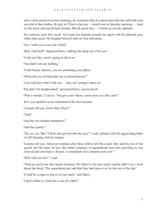after a short period of serious thinking, he concludes that it is about time that the outfit did wear out a bit of shoe leather. By god, we'll have a big one — march out on Saturday morning — sleep on the moor and march back Sunday. Bloody good idea — I better go see the adjutant...

Yes, rumours grow like weeds. Joe Land was limping towards me again with his pleasant grin wider than usual. He dropped himself onto my bed and spoke.

"See, I told you it was a lot of bull."

"Bull, what bull?" inquired Harry, rubbing the sleep out of his eyes.

"I told you they weren't going to shoot us."

"You didn't tell me nothing."

"I told Jimmy, dummy, you was pounding your pillow.

"What did you tell him that was so damn historic?"

"I just told him what I told you — they ain't going to shoot us."

"Big deal, I'm disappointed," answered Harry, unconvinced.

"Wait a minute," I cut in, "You got a new theory, some news or a dirty joke?"

Joe's eyes sparkled as he continued in his slow manner:

"Lemme tell you. Know that officer?"

"Yeah."

"And the two-hooked interpreter?"

"And the guards?"

"Yes, yes, yes. But f'Christ sake get on with the story!" I said, irritated with his aggravating habit of cliff-hanging with his tongue.

"Lemme tell you. About ten minutes after those fellows left the coach, they and the rest of the guards left the train. In fact, the whole company of squareheads that were guarding us was relieved and sent back to Rouen. A completely new company took over."

"Who told you this?" I said.

"That guy up by me who speaks German. He talked to the new guard, and he didn't say a word about the break. The squarehead just said that they had taken over for the rest of the trip."

"Could be a caper to put us off our mark," said Harry.

"I don't think so. I told Jim it was all a bluff."